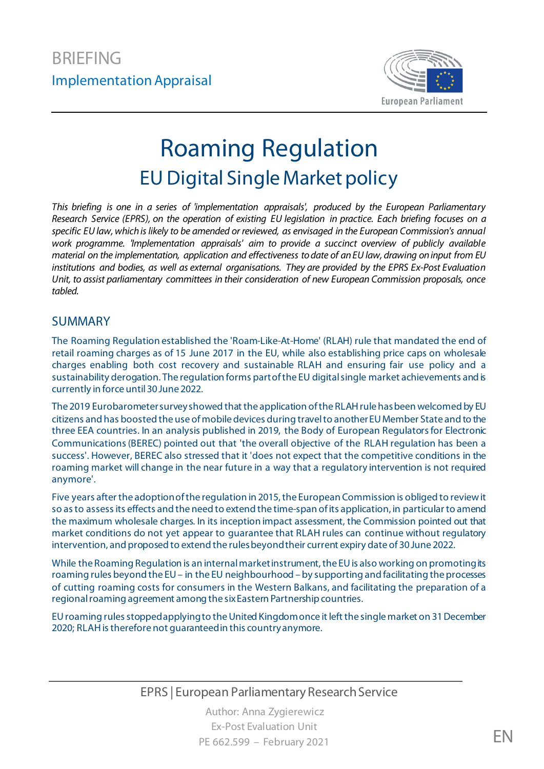

# Roaming Regulation **EU Digital Single Market policy**

*This briefing is one in a series of 'implementation appraisals', produced by the European Parliamentary Research Service (EPRS), on the operation of existing EU legislation in practice. Each briefing focuses on a specific EU law, which is likely to be amended or reviewed, as envisaged in the European Commission's annual work programme. 'Implementation appraisals' aim to provide a succinct overview of publicly available material on the implementation, application and effectiveness to date of an EU law, drawing on input from EU institutions and bodies, as well as external organisations. They are provided by the EPRS Ex-Post Evaluation Unit, to assist parliamentary committees in their consideration of new European Commission proposals, once tabled.*

#### SUMMARY

The Roaming Regulation established the 'Roam-Like-At-Home' (RLAH) rule that mandated the end of retail roaming charges as of 15 June 2017 in the EU, while also establishing price caps on wholesale charges enabling both cost recovery and sustainable RLAH and ensuring fair use policy and a sustainability derogation. The regulation forms part of the EU digital single market achievements and is currently in force until 30 June 2022.

The 2019 Eurobarometer survey showed that the application of the RLAH rule has been welcomed by EU citizens and has boosted the use of mobile devices during travel to another EU Member State and to the three EEA countries. In an analysis published in 2019, the Body of European Regulators for Electronic Communications (BEREC) pointed out that 'the overall objective of the RLAH regulation has been a success'. However, BEREC also stressed that it 'does not expect that the competitive conditions in the roaming market will change in the near future in a way that a regulatory intervention is not required anymore'.

Five years after the adoption of the regulation in 2015, the European Commission is obliged to reviewit so as to assess its effects and the need to extend the time-span of its application, in particular to amend the maximum wholesale charges. In its inception impact assessment, the Commission pointed out that market conditions do not yet appear to guarantee that RLAH rules can continue without regulatory intervention, and proposed to extend the rules beyond their current expiry date of 30 June 2022.

While the Roaming Regulation is an internal market instrument, the EU is also working on promoting its roaming rules beyond the EU – in the EU neighbourhood – by supporting and facilitating the processes of cutting roaming costs for consumers in the Western Balkans, and facilitating the preparation of a regional roaming agreement among the sixEastern Partnership countries.

EU roaming rules stopped applyingto the United Kingdom once it left the single market on 31 December 2020; RLAH is therefore not guaranteedin this country anymore.

#### EPRS | European Parliamentary Research Service

Author: Anna Zygierewicz Ex-Post Evaluation Unit PE 662.599 – February 2021 **EN**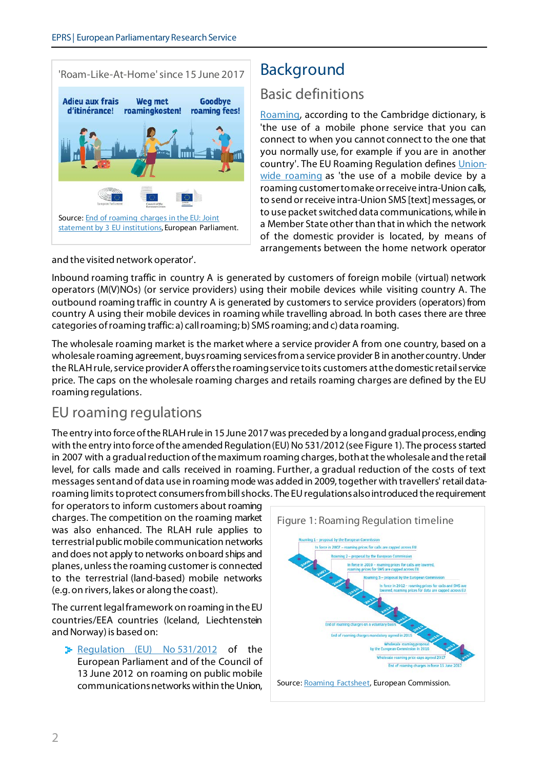#### 'Roam-Like-At-Home'since 15 June 2017



## Background

#### Basic definitions

[Roaming](https://dictionary.cambridge.org/de/worterbuch/englisch/roaming), according to the Cambridge dictionary, is 'the use of a mobile phone service that you can connect to when you cannot connect to the one that you normally use, for example if you are in another country'. The EU Roaming Regulation define[s Union](https://eur-lex.europa.eu/legal-content/EN/TXT/?uri=CELEX:02012R0531-20170615)[wide roaming](https://eur-lex.europa.eu/legal-content/EN/TXT/?uri=CELEX:02012R0531-20170615) as 'the use of a mobile device by a roaming customer to make or receive intra-Union calls, to send or receive intra-Union SMS [text] messages, or to use packet switched data communications, while in a Member State other than that in which the network of the domestic provider is located, by means of arrangements between the home network operator

and the visited network operator'.

Inbound roaming traffic in country A is generated by customers of foreign mobile (virtual) network operators (M(V)NOs) (or service providers) using their mobile devices while visiting country A. The outbound roaming traffic in country A is generated by customers to service providers (operators) from country A using their mobile devices in roaming while travelling abroad. In both cases there are three categories of roaming traffic: a) call roaming; b) SMS roaming; and c) data roaming.

The wholesale roaming market is the market where a service provider A from one country, based on a wholesale roaming agreement, buysroaming services from a service provider B in another country. Under the RLAH rule, service provider A offers the roaming service to its customers at the domestic retail service price. The caps on the wholesale roaming charges and retails roaming charges are defined by the EU roaming regulations.

#### EU roaming regulations

The entry into force of the RLAH rule in 15 June 2017 was preceded by a long and gradual process, ending with the entry into force of the amended Regulation (EU) No 531/2012 (see Figure 1). The process started in 2007 with a gradual reduction of the maximum roaming charges, both at the wholesale and the retail level, for calls made and calls received in roaming. Further, a gradual reduction of the costs of text messagessent and of data use in roaming mode was added in 2009, together with travellers' retail dataroaming limits to protect consumers from bill shocks. The EU regulations also introduced the requirement

for operators to inform customers about roaming charges. The competition on the roaming market was also enhanced. The RLAH rule applies to terrestrial public mobile communication networks and does not apply to networks on board ships and planes, unless the roaming customer is connected to the terrestrial (land-based) mobile networks (e.g. on rivers, lakes or along the coast).

The current legal framework on roaming in the EU countries/EEA countries (Iceland, Liechtenstein and Norway) is based on:

P [Regulation \(EU\) No](https://eur-lex.europa.eu/legal-content/EN/TXT/?uri=CELEX%3A32015R2120) 531/2012 of the European Parliament and of the Council of 13 June 2012 on roaming on public mobile communications networks within the Union,

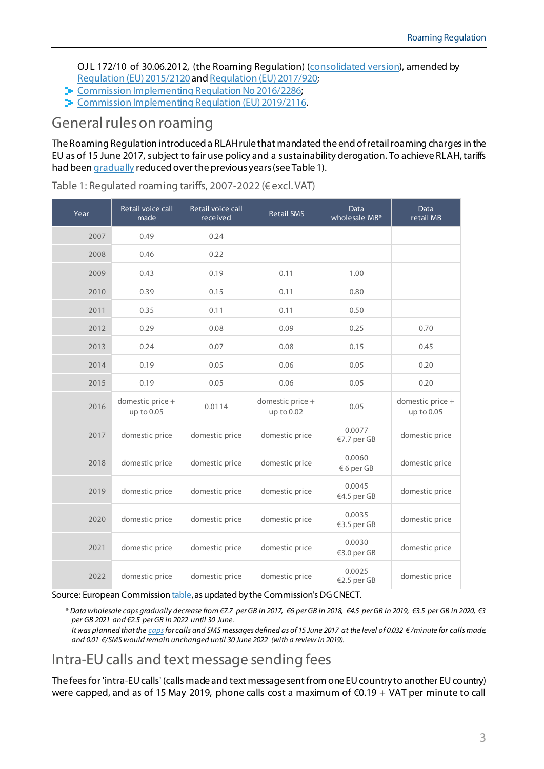OJL 172/10 of 30.06.2012, (the Roaming Regulation) [\(consolidated version\)](https://eur-lex.europa.eu/legal-content/EN/TXT/?uri=CELEX:02012R0531-20170615), amended by [Regulation \(EU\) 2015/2120](https://eur-lex.europa.eu/legal-content/EN/TXT/?uri=CELEX%3A32015R2120) an[d Regulation \(EU\) 2017/920;](https://eur-lex.europa.eu/legal-content/EN/ALL/?uri=CELEX%3A32017R0920)

- **EX [Commission Implementing Regulation No](https://op.europa.eu/en/publication-detail/-/publication/0904c3a9-c425-11e6-a6db-01aa75ed71a1/language-en) 2016/2286;**
- **EX** [Commission Implementing Regulation \(EU\) 2019/2116.](https://eur-lex.europa.eu/legal-content/GA/TXT/?uri=CELEX:32019R2116)

### General rules on roaming

The Roaming Regulation introduced a RLAH rule that mandated the end of retail roaming charges in the EU as of 15 June 2017, subject to fair use policy and a sustainability derogation. To achieve RLAH, tariffs had bee[n gradually](https://ec.europa.eu/digital-single-market/en/roaming-charges-what-has-european-commission-done-so-far) reduced over the previous years (see Table 1).

| Year | Retail voice call<br>made      | Retail voice call<br>received | <b>Retail SMS</b>              | Data<br>wholesale MB* | <b>Data</b><br>retail MB       |
|------|--------------------------------|-------------------------------|--------------------------------|-----------------------|--------------------------------|
| 2007 | 0.49                           | 0.24                          |                                |                       |                                |
| 2008 | 0.46                           | 0.22                          |                                |                       |                                |
| 2009 | 0.43                           | 0.19                          | 0.11                           | 1.00                  |                                |
| 2010 | 0.39                           | 0.15                          | 0.11                           | 0.80                  |                                |
| 2011 | 0.35                           | 0.11                          | 0.11                           | 0.50                  |                                |
| 2012 | 0.29                           | 0.08                          | 0.09                           | 0.25                  | 0.70                           |
| 2013 | 0.24                           | 0.07                          | 0.08                           | 0.15                  | 0.45                           |
| 2014 | 0.19                           | 0.05                          | 0.06                           | 0.05                  | 0.20                           |
| 2015 | 0.19                           | 0.05                          | 0.06                           | 0.05                  | 0.20                           |
| 2016 | domestic price +<br>up to 0.05 | 0.0114                        | domestic price +<br>up to 0.02 | 0.05                  | domestic price +<br>up to 0.05 |
| 2017 | domestic price                 | domestic price                | domestic price                 | 0.0077<br>€7.7 per GB | domestic price                 |
| 2018 | domestic price                 | domestic price                | domestic price                 | 0.0060<br>$6$ per GB  | domestic price                 |
| 2019 | domestic price                 | domestic price                | domestic price                 | 0.0045<br>€4.5 per GB | domestic price                 |
| 2020 | domestic price                 | domestic price                | domestic price                 | 0.0035<br>€3.5 per GB | domestic price                 |
| 2021 | domestic price                 | domestic price                | domestic price                 | 0.0030<br>€3.0 per GB | domestic price                 |
| 2022 | domestic price                 | domestic price                | domestic price                 | 0.0025<br>€2.5 per GB | domestic price                 |

Table 1: Regulated roaming tariffs, 2007-2022 (€ excl. VAT)

Source: European Commissio[n table](https://ec.europa.eu/digital-single-market/en/roaming-tariffs), as updated by the Commission's DG CNECT.

*\* Data wholesale caps gradually decrease from €7.7 per GB in 2017, €6 per GB in 2018, €4.5 per GB in 2019, €3.5 per GB in 2020, €3 per GB 2021 and €2.5 per GB in 2022 until 30 June. It was planned that th[e capsf](https://www.europarl.europa.eu/RegData/etudes/BRIE/2017/607294/EPRS_BRI(2017)607294_EN.pdf)or calls and SMS messages defined as of 15 June 2017 at the level of 0.032 € /minute for calls made, and 0.01 €/SMS would remain unchanged until 30 June 2022 (with a review in 2019).*

## Intra-EU calls and text message sending fees

The fees for 'intra-EU calls' (calls made and text message sent from one EU country to another EU country) were capped, and as of 15 May 2019, phone calls cost a maximum of €0.19 + VAT per minute to call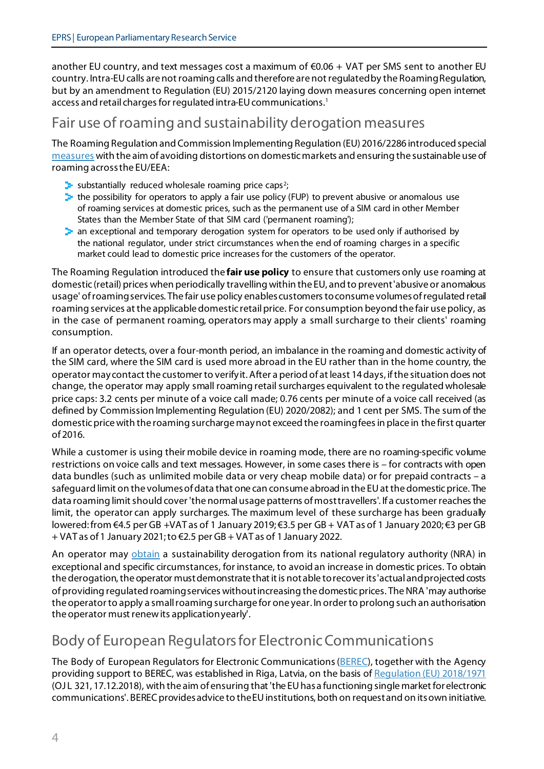another EU country, and text messages cost a maximum of  $\epsilon$ 0.06 + VAT per SMS sent to another EU country. Intra-EU calls are not roaming calls and therefore are not regulated by the Roaming Regulation, but by an amendment to Regulation (EU) 2015/2120 laying down measures concerning open internet access and retail charges for regulated intra-EU communications.[1](#page-11-0)

### Fair use of roaming and sustainability derogation measures

The Roaming Regulation and Commission Implementing Regulation (EU) 2016/2286 introduced special [measures](https://ec.europa.eu/digital-single-market/en/news/report-implementation-regulation-roaming-public-mobile-communications-networks-within-union) with the aim of avoiding distortions on domestic markets and ensuring the sustainable use of roaming across the EU/EEA:

- substantially reduced wholesale roaming price caps<sup>[2](#page-11-1)</sup>;
- $\geq$  the possibility for operators to apply a fair use policy (FUP) to prevent abusive or anomalous use of roaming services at domestic prices, such as the permanent use of a SIM card in other Member States than the Member State of that SIM card ('permanent roaming');
- $\blacktriangleright$  an exceptional and temporary derogation system for operators to be used only if authorised by the national regulator, under strict circumstances when the end of roaming charges in a specific market could lead to domestic price increases for the customers of the operator.

The Roaming Regulation introduced the **fair use policy** to ensure that customers only use roaming at domestic (retail) prices when periodically travelling within the EU, and to prevent 'abusive or anomalous usage' of roaming services. The fair use policy enablescustomerstoconsume volumes of regulated retail roaming services at the applicable domestic retail price. For consumption beyond the fair use policy, as in the case of permanent roaming, operators may apply a small surcharge to their clients' roaming consumption.

If an operator detects, over a four-month period, an imbalance in the roaming and domestic activity of the SIM card, where the SIM card is used more abroad in the EU rather than in the home country, the operator may contact the customer to verify it.After a period of at least 14 days, if the situation does not change, the operator may apply small roaming retail surcharges equivalent to the regulated wholesale price caps: 3.2 cents per minute of a voice call made; 0.76 cents per minute of a voice call received (as defined by Commission Implementing Regulation (EU) 2020/2082); and 1 cent per SMS. The sum of the domestic price with the roaming surcharge may not exceed the roaming fees in place in the first quarter of 2016.

While a customer is using their mobile device in roaming mode, there are no roaming-specific volume restrictions on voice calls and text messages. However, in some cases there is – for contracts with open data bundles (such as unlimited mobile data or very cheap mobile data) or for prepaid contracts – a safeguard limit on the volumes of data that one can consume abroad in the EU at the domestic price. The data roaming limit should cover 'the normal usage patterns of most travellers'. If a customer reaches the limit, the operator can apply surcharges. The maximum level of these surcharge has been gradually lowered: from €4.5 per GB +VAT as of 1 January 2019; €3.5 per GB + VAT as of 1 January 2020; €3 per GB + VAT as of 1 January 2021; to €2.5 per GB + VAT as of 1 January 2022.

An operator may [obtain](https://www.google.com/url?sa=t&rct=j&q=&esrc=s&source=web&cd=&ved=2ahUKEwjJzPTF4MXtAhVKNOwKHRfUDxYQFjAAegQIAxAC&url=https%3A%2F%2Fec.europa.eu%2Ftransparency%2Fregdoc%2Frep%2F10102%2F2019%2FEN%2FSWD-2019-288-F1-EN-MAIN-PART-1.PDF&usg=AOvVaw146DtQq9867nRllWJ1PDCu) a sustainability derogation from its national regulatory authority (NRA) in exceptional and specific circumstances, for instance, to avoid an increase in domestic prices. To obtain the derogation, the operator must demonstrate that it is not able to recover its 'actual and projected costs of providing regulated roaming services without increasing the domestic prices. The NRA 'may authorise the operator to apply a small roaming surcharge for one year. In order to prolong such an authorisation the operator must renew its application yearly'.

## Body of European Regulators for Electronic Communications

The Body of European Regulators for Electronic Communications [\(BEREC](https://berec.europa.eu/)), together with the Agency providing support to BEREC, was established in Riga, Latvia, on the basis of Requlation (EU) 2018/1971 (OJ L 321, 17.12.2018), with the aim of ensuring that 'the EU has a functioning single market for electronic communications'. BEREC provides advice to the EU institutions, both on request and on its own initiative.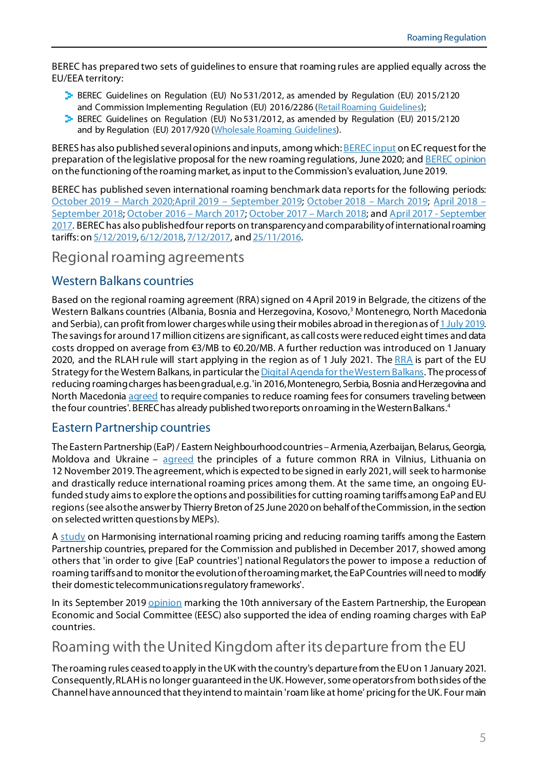BEREC has prepared two sets of guidelines to ensure that roaming rules are applied equally across the EU/EEA territory:

- **BEREC Guidelines on Regulation (EU) No 531/2012, as amended by Regulation (EU) 2015/2120** and Commission Implementing Regulation (EU) 2016/2286 [\(Retail Roaming Guidelines\)](https://berec.europa.eu/eng/document_register/subject_matter/berec/regulatory_best_practices/guidelines/7005-berec-guidelines-on-regulation-eu-no-5312012-as-amended-by-regulation-eu-no-21202015-excluding-articles-3-4-and-5-on-wholesale-access-and-separate-sale-of-services);
- **BEREC Guidelines on Regulation (EU) No 531/2012, as amended by Regulation (EU) 2015/2120** and by Regulation (EU) 2017/920 [\(Wholesale Roaming Guidelines\)](https://berec.europa.eu/eng/document_register/subject_matter/berec/regulatory_best_practices/guidelines/7116-berec-guidelines-on-regulation-eu-no-5312012-as-amended-by-regulation-eu-20152120-and-by-regulation-eu-2017920-wholesale-roaming-guidelines).

BERES has also published several opinions and inputs, among which: BEREC input [on EC request for the](https://berec.europa.eu/eng/document_register/subject_matter/berec/opinions/9373-berec-input-on-ec-request-for-the-preparation-of-the-legislative-proposal-for-the-new-roaming-regulations)  [preparation of the legislative proposal for the new roaming regulations](https://berec.europa.eu/eng/document_register/subject_matter/berec/opinions/9373-berec-input-on-ec-request-for-the-preparation-of-the-legislative-proposal-for-the-new-roaming-regulations), June 2020; an[d BEREC opinion](https://berec.europa.eu/eng/document_register/subject_matter/berec/opinions/8595-berec-opinion-on-the-functioning-of-the-roaming-market-as-input-to-ec-evaluation) [on the functioning of the roaming market, as input to the Commission's evaluation,](https://berec.europa.eu/eng/document_register/subject_matter/berec/opinions/8595-berec-opinion-on-the-functioning-of-the-roaming-market-as-input-to-ec-evaluation) June 2019.

BEREC has published seven international roaming benchmark data reportsfor the following periods: [October 2019 –](https://berec.europa.eu/eng/document_register/subject_matter/berec/reports/9443-international-roaming-berec-benchmark-data-report-october-2019-march-2020-2nd-western-balkan-roaming-report) March 2020;April 2019 – [September 2019;](https://berec.europa.eu/eng/document_register/subject_matter/berec/reports/9031-international-roaming-berec-benchmark-data-report-april-2019-8211-september-2019) [October 2018 –](https://berec.europa.eu/eng/document_register/subject_matter/berec/reports/8839-international-roaming-berec-benchmark-data-report-october-2018-8211-march-2019) March 2019; [April 2018 –](https://berec.europa.eu/eng/document_register/subject_matter/berec/reports/8468-international-roaming-berec-benchmark-data-report-april-2018-september-2018) [September 2018](https://berec.europa.eu/eng/document_register/subject_matter/berec/reports/8468-international-roaming-berec-benchmark-data-report-april-2018-september-2018)[; October 2016 –](https://berec.europa.eu/eng/document_register/subject_matter/berec/reports/7309-international-roaming-berec-benchmark-data-report-october-2016-march-2017) March 2017[; October 2017 –](https://berec.europa.eu/eng/document_register/subject_matter/berec/reports/8251-international-roaming-berec-benchmark-data-report-october-2017-march-2018) March 2018; an[d April 2017 -](https://berec.europa.eu/eng/document_register/subject_matter/berec/reports/8011-international-roaming-berec-benchmark-data-report-april-2017-september-2017) September [2017.](https://berec.europa.eu/eng/document_register/subject_matter/berec/reports/8011-international-roaming-berec-benchmark-data-report-april-2017-september-2017) BEREC has also published four reports on transparency and comparability of international roaming tariffs: [on 5/12/2019,](https://berec.europa.eu/eng/document_register/subject_matter/berec/reports/8901-7th-berec-report-on-transparency-and-comparability-of-international-roaming-tariffs) [6/12/2018,](http://berec.europa.eu/eng/document_register/subject_matter/berec/reports/8312-berec-report-on-transparency-and-comparability-of-international-roaming-tariffs) [7/12/2017,](https://berec.europa.eu/eng/document_register/subject_matter/berec/reports/7526-berec-report-on-transparency-and-comparability-of-international-roaming-tariffs) an[d 25/11/2016.](https://berec.europa.eu/eng/document_register/subject_matter/berec/reports/6616-berec-report-on-transparency-and-comparability-of-international-roaming-tariffs)

Regional roaming agreements

#### Western Balkans countries

Based on the regional roaming agreement (RRA) signed on 4April 2019 in Belgrade, the citizens of the Western Balkans countries (Albania, Bosnia and Herzegovina, Kosovo, [3](#page-11-2) Montenegro, North Macedonia and Serbia), can profit from lower charges while using their mobiles abroad in the regionas of 1 July 2019. The savings for around 17 million citizens are significant, as call costs were reduced eight times and data costs dropped on average from €3/MB to €0.20/MB. A further reduction was introduced on 1 January 2020, and the RLAH rule will start applying in the region as of 1 July 2021. The [RRA](https://ec.europa.eu/digital-single-market/en/news/eu-western-balkans-boosting-digital-connectivity) is part of the EU Strategy for the Western Balkans, in particular th[e Digital Agenda for the Western Balkans](https://ec.europa.eu/commission/presscorner/detail/en/IP_18_4242). The process of reducing roaming charges has been gradual, e.g. 'in 2016, Montenegro, Serbia, Bosnia and Herzegovina and North Macedoni[a agreed](https://ec.europa.eu/neighbourhood-enlargement/news_corner/news/entry-force-new-western-balkans-regional-roaming-agreement-clear-drop-roaming_en) to require companies to reduce roaming fees for consumers traveling between the four countries'. BEREChas already published two reports on roaming in the Western Balkans.<sup>[4](#page-11-3)</sup>

#### Eastern Partnership countries

The Eastern Partnership (EaP) / Eastern Neighbourhood countries –Armenia, Azerbaijan, Belarus, Georgia, Moldova and Ukraine – [agreed](https://eufordigital.eu/eastern-partnership-countries-agree-principles-of-regional-roaming-agreement/) the principles of a future common RRA in Vilnius, Lithuania on 12 November 2019. The agreement, which is expected to be signed in early 2021, will seek to harmonise and drastically reduce international roaming prices among them. At the same time, an ongoing EUfunded study aims to explore the options and possibilities for cutting roaming tariffs among EaP and EU regions (see also the answer by Thierry Breton of 25 June 2020on behalf of the Commission, in the section on selected written questions by MEPs).

A [study](https://eufordigital.eu/library/study-on-harmonising-international-roaming-pricing-and-reducing-roaming-tariffs-among-the-eastern-partnership-countries/) on Harmonising international roaming pricing and reducing roaming tariffs among the Eastern Partnership countries, prepared for the Commission and published in December 2017, showed among others that 'in order to give [EaP countries'] national Regulators the power to impose a reduction of roaming tariffs and to monitor the evolution of the roaming market, the EaP Countries will need to modify their domestic telecommunications regulatory frameworks'.

In its September 2019 **[opinion](https://www.eesc.europa.eu/en/news-media/press-releases/eastern-partnership-celebrates-10-years-success-taking-challenge-deepening-democratisation)** marking the 10th anniversary of the Eastern Partnership, the European Economic and Social Committee (EESC) also supported the idea of ending roaming charges with EaP countries.

### Roaming with the United Kingdom after its departure from the EU

The roaming rules ceased to apply in the UK with the country's departure from the EU on 1 January 2021. Consequently, RLAH is no longer guaranteed in the UK.However, some operators from both sides of the Channel have announced that they intend to maintain 'roam like at home' pricing for the UK. Four main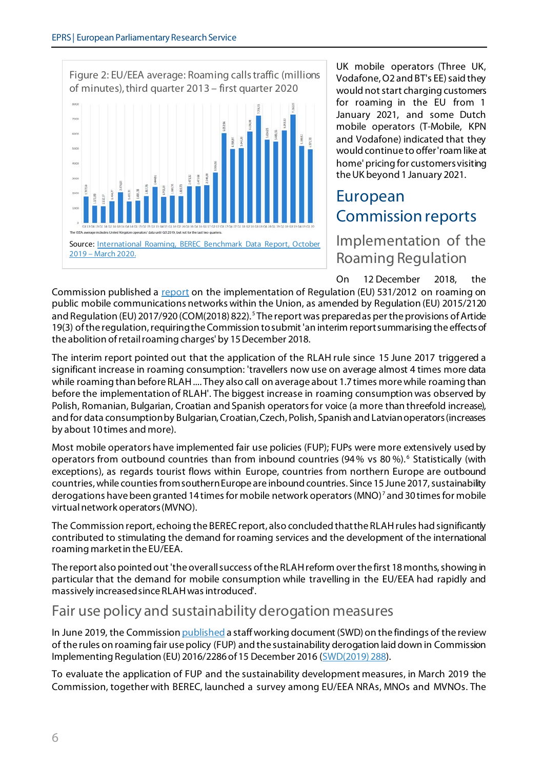

UK mobile operators (Three UK, Vodafone, O2 and BT's EE) said they would not start charging customers for roaming in the EU from 1 January 2021, and some Dutch mobile operators (T-Mobile, KPN and Vodafone) indicated that they would continue to offer 'roam like at home' pricing for customers visiting the UK beyond 1 January 2021.

## European Commission reports

## Implementation of the Roaming Regulation

On 12 December 2018, the

Commission published a [report](https://ec.europa.eu/digital-single-market/en/news/report-implementation-regulation-roaming-public-mobile-communications-networks-within-union) on the implementation of Regulation (EU) 531/2012 on roaming on public mobile communications networks within the Union, as amended by Regulation (EU) 2015/2120 and Regulation (EU) 2017/920 (COM(2018) 822).<sup>[5](#page-11-4)</sup> The report was preparedas per the provisions of Artide 19(3) of the regulation, requiring theCommission to submit 'an interim report summarising the effects of the abolition of retail roaming charges' by 15December 2018.

The interim report pointed out that the application of the RLAH rule since 15 June 2017 triggered a significant increase in roaming consumption: 'travellers now use on average almost 4 times more data while roaming than before RLAH .... They also call on average about 1.7 times more while roaming than before the implementation of RLAH'. The biggest increase in roaming consumption was observed by Polish, Romanian, Bulgarian, Croatian and Spanish operators for voice (a more than threefold increase), and for data consumption by Bulgarian, Croatian, Czech, Polish, Spanish and Latvian operators (increases by about 10 times and more).

Most mobile operators have implemented fair use policies (FUP); FUPs were more extensively used by operators from outbound countries than from inbound countries (94% vs 80%).<sup>[6](#page-11-5)</sup> Statistically (with exceptions), as regards tourist flows within Europe, countries from northern Europe are outbound countries, while counties from southern Europe are inbound countries. Since 15 June 2017, sustainability derogations have been granted 14 times for mobile network operators (MNO)<sup>[7](#page-11-6)</sup> and 30 times for mobile virtual network operators(MVNO).

The Commission report, echoing the BEREC report, also concluded thatthe RLAH rules had significantly contributed to stimulating the demand for roaming services and the development of the international roaming market in the EU/EEA.

The report also pointed out 'the overall success of the RLAH reform over the first 18 months, showing in particular that the demand for mobile consumption while travelling in the EU/EEA had rapidly and massively increased since RLAH was introduced'.

## Fair use policy and sustainability derogation measures

In June 2019, the Commissio[n published](https://ec.europa.eu/digital-single-market/en/news/roaming-review-fair-use-policy-and-sustainability-derogation) a staff working document (SWD) on the findings of the review of the rules on roaming fair use policy (FUP) and the sustainability derogation laid down in Commission Implementing Regulation (EU) 2016/2286 of 15 December 2016 [\(SWD\(2019\) 288\)](https://ec.europa.eu/transparency/regdoc/rep/10102/2019/EN/SWD-2019-288-F1-EN-MAIN-PART-1.PDF).

To evaluate the application of FUP and the sustainability development measures, in March 2019 the Commission, together with BEREC, launched a survey among EU/EEA NRAs, MNOs and MVNOs. The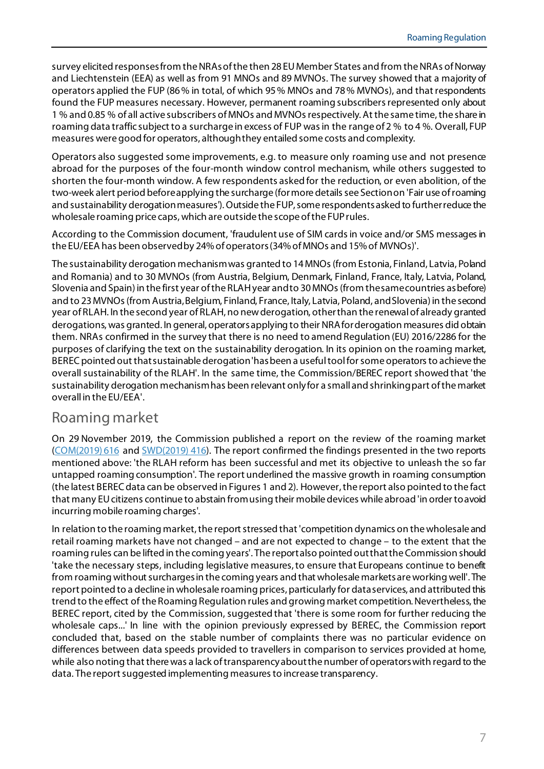survey elicited responses from the NRAs of the then 28 EU Member States and from the NRAs of Norway and Liechtenstein (EEA) as well as from 91 MNOs and 89 MVNOs. The survey showed that a majority of operators applied the FUP (86% in total, of which 95% MNOs and 78% MVNOs), and that respondents found the FUP measures necessary. However, permanent roaming subscribers represented only about 1 % and 0.85 % of all active subscribers of MNOs and MVNOs respectively. At the same time, the share in roaming data traffic subject to a surcharge in excess of FUP was in the range of 2 % to 4 %. Overall, FUP measures were good for operators, although they entailed some costs and complexity.

Operators also suggested some improvements, e.g. to measure only roaming use and not presence abroad for the purposes of the four-month window control mechanism, while others suggested to shorten the four-month window. A few respondents asked for the reduction, or even abolition, of the two-week alert period before applying the surcharge (for more details see Section on 'Fair use ofroaming and sustainability derogation measures'). Outside the FUP, some respondents asked to further reduce the wholesale roaming price caps, which are outside the scope of the FUP rules.

According to the Commission document, 'fraudulent use of SIM cards in voice and/or SMS messages in the EU/EEA has been observed by 24% of operators (34% of MNOs and 15% of MVNOs)'.

The sustainability derogation mechanism was granted to 14 MNOs (from Estonia, Finland, Latvia, Poland and Romania) and to 30 MVNOs (from Austria, Belgium, Denmark, Finland, France, Italy, Latvia, Poland, Slovenia and Spain) in the first year of the RLAH year and to 30 MNOs (from the same countries as before) and to 23 MVNOs (from Austria, Belgium, Finland, France, Italy, Latvia, Poland, and Slovenia) in the second year of RLAH. In the second year of RLAH, no new derogation, other than the renewal of already granted derogations, was granted. In general, operators applying to their NRA for derogation measures did obtain them. NRAs confirmed in the survey that there is no need to amend Regulation (EU) 2016/2286 for the purposes of clarifying the text on the sustainability derogation. In its opinion on the roaming market, BEREC pointed out that sustainable derogation 'has been a useful tool for some operators to achieve the overall sustainability of the RLAH'. In the same time, the Commission/BEREC report showed that 'the sustainability derogation mechanism has been relevant only for a small and shrinking part of the market overall in the EU/EEA'.

#### Roaming market

On 29 November 2019, the Commission published a report on the review of the roaming market [\(COM\(2019\)](https://ec.europa.eu/digital-single-market/en/news/commission-report-review-roaming-market) 616 and [SWD\(2019\)](https://ec.europa.eu/digital-single-market/en/news/commission-report-review-roaming-market) 416). The report confirmed the findings presented in the two reports mentioned above: 'the RLAH reform has been successful and met its objective to unleash the so far untapped roaming consumption'. The report underlined the massive growth in roaming consumption (the latest BEREC data can be observed in Figures 1 and 2). However, the report also pointed to the fact that many EU citizens continue to abstain from using their mobile devices while abroad 'in order to avoid incurring mobile roaming charges'.

In relation to the roaming market, the report stressed that 'competition dynamics on the wholesale and retail roaming markets have not changed – and are not expected to change – to the extent that the roaming rules can be lifted in the coming years'. The report also pointed outthat the Commission should 'take the necessary steps, including legislative measures, to ensure that Europeans continue to benefit from roaming without surcharges in the coming years and that wholesale markets are working well'. The report pointed to a decline in wholesale roaming prices, particularly for data services, and attributed this trend to the effect of the Roaming Regulation rules and growing market competition.Nevertheless, the BEREC report, cited by the Commission, suggested that 'there is some room for further reducing the wholesale caps...' In line with the opinion previously expressed by BEREC, the Commission report concluded that, based on the stable number of complaints there was no particular evidence on differences between data speeds provided to travellers in comparison to services provided at home, while also noting that there was a lack of transparency about the number of operators with regard to the data. The report suggested implementing measures to increase transparency.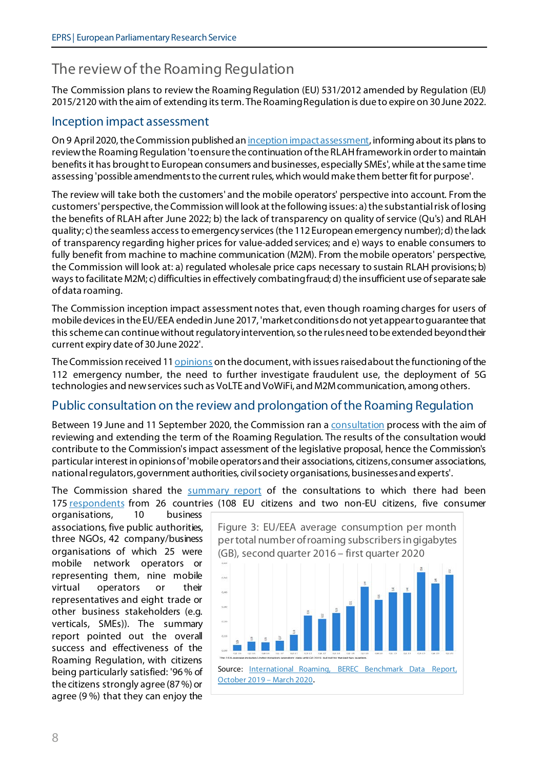## The review of the Roaming Regulation

The Commission plans to review the Roaming Regulation (EU) 531/2012 amended by Regulation (EU) 2015/2120 with the aim of extending its term. The Roaming Regulation is due to expire on 30 June 2022.

#### Inception impact assessment

On 9 April 2020, the Commission published a[n inception impact assessment](https://ec.europa.eu/info/law/better-regulation/have-your-say/initiatives/12340-Initiative-for-reviewing-and-prolonging-the-Roaming-Regulation-), informing about its plans to review the Roaming Regulation 'to ensure the continuation of the RLAH framework in order to maintain benefits it has brought to European consumers and businesses, especially SMEs', while at the same time assessing 'possible amendments to the current rules, which would make them better fit for purpose'.

The review will take both the customers' and the mobile operators' perspective into account. From the customers'perspective, the Commission will look at the following issues: a) the substantial risk of losing the benefits of RLAH after June 2022; b) the lack of transparency on quality of service (Qu's) and RLAH quality; c) the seamless access to emergency services (the 112 European emergency number); d) the lack of transparency regarding higher prices for value-added services; and e) ways to enable consumers to fully benefit from machine to machine communication (M2M). From the mobile operators' perspective, the Commission will look at: a) regulated wholesale price caps necessary to sustain RLAH provisions; b) ways to facilitate M2M; c) difficulties in effectively combating fraud; d) the insufficient use of separate sale of data roaming.

The Commission inception impact assessment notes that, even though roaming charges for users of mobile devices in the EU/EEA ended in June 2017, 'market conditions do not yet appear to guarantee that this scheme can continue without regulatory intervention, so the rules need to be extended beyond their current expiry date of 30 June 2022'.

The Commission received 1[1 opinions](https://ec.europa.eu/info/law/better-regulation/have-your-say/initiatives/12340-Initiative-for-reviewing-and-prolonging-the-Roaming-Regulation-/feedback?p_id=7695124) on the document, with issues raised about the functioning of the 112 emergency number, the need to further investigate fraudulent use, the deployment of 5G technologies and new services such as VoLTE and VoWiFi, and M2M communication, among others.

#### Public consultation on the review and prolongation of the Roaming Regulation

Between 19 June and 11 September 2020, the Commission ran [a consultation](https://ec.europa.eu/digital-single-market/en/news/public-consultation-review-and-prolongation-roaming-regulation) process with the aim of reviewing and extending the term of the Roaming Regulation. The results of the consultation would contribute to the Commission's impact assessment of the legislative proposal, hence the Commission's particular interest in opinions of 'mobile operators and their associations, citizens, consumer associations, national regulators, government authorities, civil society organisations, businesses and experts'.

The Commission shared the [summary report](https://ec.europa.eu/digital-single-market/en/news/summary-report-public-consultation-review-and-prolongation-roaming-regulation-2020) of the consultations to which there had been 175 [respondents](https://ec.europa.eu/info/law/better-regulation/have-your-say/initiatives/12340-Initiative-for-reviewing-and-prolonging-the-Roaming-Regulation-/public-consultation) from 26 countries (108 EU citizens and two non-EU citizens, five consumer

organisations, 10 business associations, five public authorities, three NGOs, 42 company/business organisations of which 25 were mobile network operators or representing them, nine mobile virtual operators or their representatives and eight trade or other business stakeholders (e.g. verticals, SMEs)). The summary report pointed out the overall success and effectiveness of the Roaming Regulation, with citizens being particularly satisfied: '96% of the citizens strongly agree (87%) or agree (9 %) that they can enjoy the

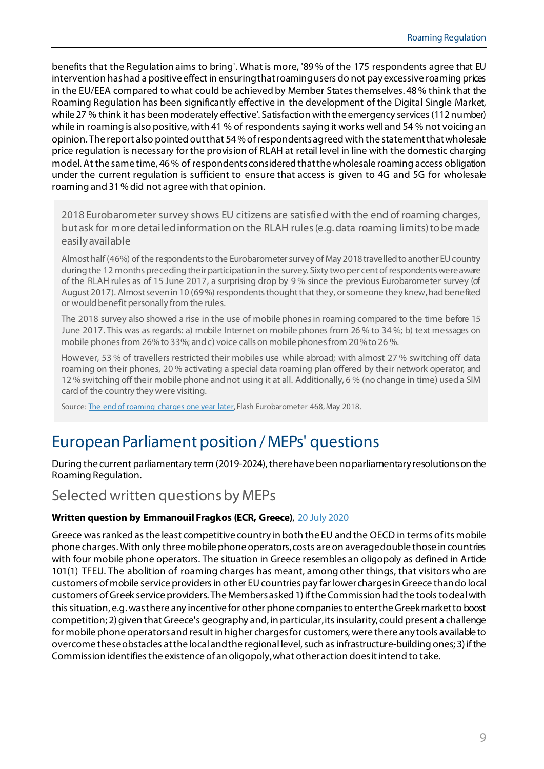benefits that the Regulation aims to bring'. What is more, '89% of the 175 respondents agree that EU intervention has had a positive effect in ensuring that roaming users do not pay excessive roaming prices in the EU/EEA compared to what could be achieved by Member States themselves. 48% think that the Roaming Regulation has been significantly effective in the development of the Digital Single Market, while 27 % think it has been moderately effective'. Satisfaction with the emergency services (112 number) while in roaming is also positive, with 41 % of respondents saying it works well and 54 % not voicing an opinion. The report also pointed out that 54%of respondentsagreed with the statement that wholesale price regulation is necessary for the provision of RLAH at retail level in line with the domestic charging model.At the same time, 46% of respondentsconsidered that the wholesale roaming access obligation under the current regulation is sufficient to ensure that access is given to 4G and 5G for wholesale roaming and 31% did not agreewith that opinion.

2018 Eurobarometer survey shows EU citizens are satisfied with the end of roaming charges, but ask for more detailed information on the RLAH rules (e.g. data roaming limits) to be made easily available

Almost half (46%) of the respondents to the Eurobarometer survey of May 2018 travelled to another EU country during the 12 months preceding their participation in the survey. Sixty two per cent of respondents were aware of the RLAH rules as of 15 June 2017, a surprising drop by 9 % since the previous Eurobarometer survey (of August 2017). Almost seven in 10 (69%) respondents thought that they, or someone they knew, had benefited or would benefit personally from the rules.

The 2018 survey also showed a rise in the use of mobile phones in roaming compared to the time before 15 June 2017. This was as regards: a) mobile Internet on mobile phones from 26 % to 34 %; b) text messages on mobile phonesfrom 26% to 33%; and c) voice calls on mobile phonesfrom 20% to 26 %.

However, 53 % of travellers restricted their mobiles use while abroad; with almost 27 % switching off data roaming on their phones, 20 % activating a special data roaming plan offered by their network operator, and 12 % switching off their mobile phone and not using it at all. Additionally, 6 % (no change in time) used a SIM card of the country they were visiting.

Source: [The end of roaming charges one year later,](https://ec.europa.eu/commfrontoffice/publicopinion/index.cfm/Survey/getSurveyDetail/instruments/FLASH/surveyKy/2192) Flash Eurobarometer 468, May 2018.

## European Parliament position / MEPs' questions

During the current parliamentary term (2019-2024), there have been no parliamentary resolutionson the Roaming Regulation.

## Selected written questions by MEPs

#### **Written question by Emmanouil Fragkos (ECR, Greece)**, [20 July 2020](https://www.europarl.europa.eu/doceo/document/E-9-2020-004311_EN.html)

Greece was ranked as the least competitive country in both the EU and the OECD in terms of its mobile phone charges. With only three mobile phone operators, costs are on average double those in countries with four mobile phone operators. The situation in Greece resembles an oligopoly as defined in Artide 101(1) TFEU. The abolition of roaming charges has meant, among other things, that visitors who are customers of mobile service providers in other EU countries pay far lower charges in Greece than do local customers of Greek service providers. The Members asked 1) if the Commission had the tools to deal with this situation, e.g. was there any incentive for other phone companies to enter the Greek market to boost competition; 2) given that Greece's geography and, in particular, its insularity, could present a challenge for mobile phone operators and result in higher charges for customers, were there any tools available to overcome these obstacles at the local and the regional level, such as infrastructure-building ones; 3) if the Commission identifiesthe existence of an oligopoly, what other action does it intend to take.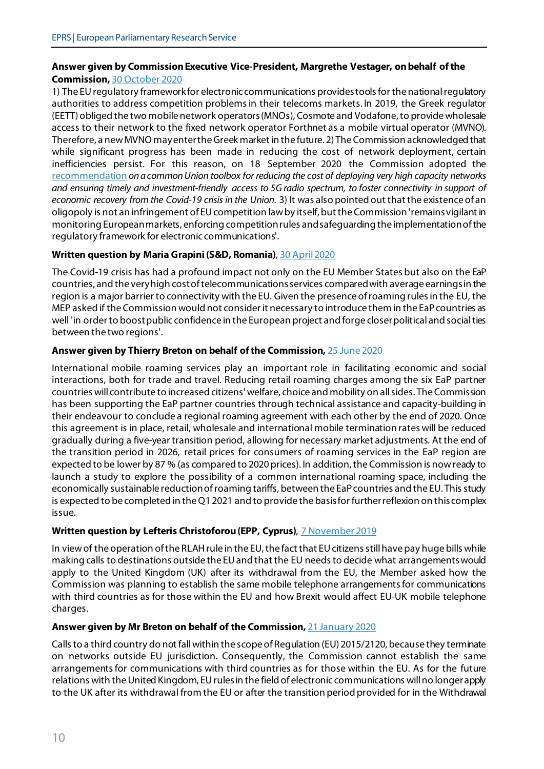#### **Answer given by Commission Executive Vice-President, Margrethe Vestager, on behalf of the Commission,** [30 October 2020](https://www.europarl.europa.eu/doceo/document/E-9-2020-004311-ASW_EN.html)

1) The EU regulatory framework for electronic communications provides tools for the national regulatory authorities to address competition problems in their telecoms markets. In 2019, the Greek regulator (EETT) obliged the two mobile network operators (MNOs), Cosmote and Vodafone, to provide wholesale access to their network to the fixed network operator Forthnet as a mobile virtual operator (MVNO). Therefore, a new MVNO may enter the Greek market in the future. 2) The Commission acknowledged that while significant progress has been made in reducing the cost of network deployment, certain inefficiencies persist. For this reason, on 18 September 2020 the Commission adopted the [recommendation](https://eur-lex.europa.eu/eli/reco/2020/1307/oj.) *on a common Union toolbox for reducing the cost of deploying very high capacity networks and ensuring timely and investment-friendly access to 5G radio spectrum, to foster connectivity in support of economic recovery from the Covid-19 crisis in the Union*. 3) It was also pointed out that the existence of an oligopoly is not an infringement of EU competition law by itself, but the Commission 'remains vigilant in monitoring European markets, enforcing competition rules and safeguarding the implementation of the regulatory framework for electronic communications'.

#### Written question by Maria Grapini (S&D, Romania), 30 April 2020

The Covid-19 crisis has had a profound impact not only on the EU Member States but also on the EaP countries, and the very high cost of telecommunications services compared with average earnings in the region is a major barrier to connectivity with the EU. Given the presence of roaming rules in the EU, the MEP asked if theCommission would not consider it necessary to introduce them in the EaP countries as well 'in order to boost public confidence in the European project and forge closer political and social ties between the two regions'.

#### **Answer given by Thierry Breton on behalf of the Commission,** [25 June 2020](https://www.europarl.europa.eu/doceo/document/E-9-2020-002650-ASW_EN.html)

International mobile roaming services play an important role in facilitating economic and social interactions, both for trade and travel. Reducing retail roaming charges among the six EaP partner countries will contribute to increased citizens' welfare, choice and mobility on all sides. The Commission has been supporting the EaP partner countries through technical assistance and capacity-building in their endeavour to conclude a regional roaming agreement with each other by the end of 2020. Once this agreement is in place, retail, wholesale and international mobile termination rates will be reduced gradually during a five-year transition period, allowing for necessary market adjustments. At the end of the transition period in 2026, retail prices for consumers of roaming services in the EaP region are expected to be lower by 87 % (as compared to 2020 prices). In addition, the Commission is now ready to launch a study to explore the possibility of a common international roaming space, including the economically sustainable reduction of roaming tariffs, between the EaP countries and the EU. This study is expected to be completed in the Q1 2021 and to provide the basis for further reflexion on this complex issue.

#### **Written question by Lefteris Christoforou (EPP, Cyprus)**, 7 November 2019

In view of the operation of the RLAH rule in the EU, the fact that EU citizens still have pay huge bills while making calls to destinations outside the EU and that the EU needsto decide what arrangements would apply to the United Kingdom (UK) after its withdrawal from the EU, the Member asked how the Commission was planning to establish the same mobile telephone arrangements for communications with third countries as for those within the EU and how Brexit would affect EU-UK mobile telephone charges.

#### **Answer given by Mr Breton on behalf of the Commission,** [21 January 2020](https://www.europarl.europa.eu/doceo/document/E-9-2019-003712-ASW_EN.html)

Calls to a third country do not fall within the scope of Regulation (EU) 2015/2120, because they terminate on networks outside EU jurisdiction. Consequently, the Commission cannot establish the same arrangements for communications with third countries as for those within the EU. As for the future relations with the United Kingdom, EU rules in the field of electronic communications will no longer apply to the UK after its withdrawal from the EU or after the transition period provided for in the Withdrawal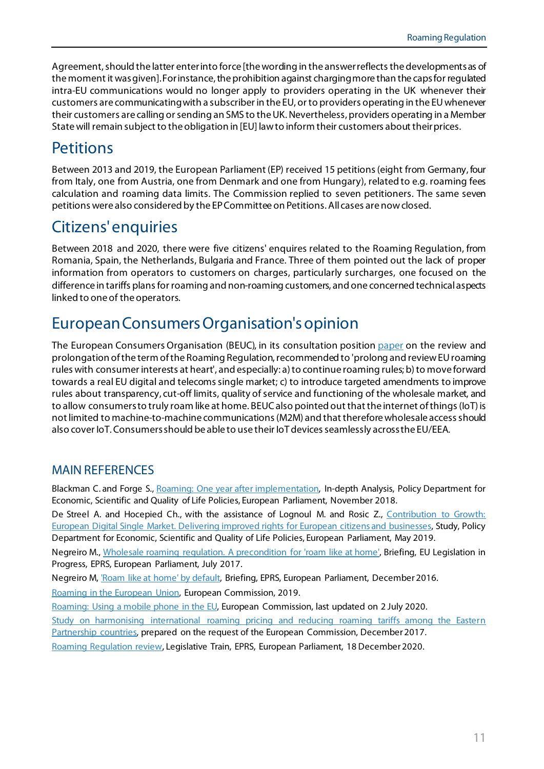Agreement, should the latter enter into force [the wording in the answer reflects the developments as of the moment it was given]. For instance, the prohibition against charging more than the capsfor regulated intra-EU communications would no longer apply to providers operating in the UK whenever their customers are communicating with a subscriber in the EU, or to providers operating in the EU whenever their customers are calling or sending an SMS to the UK. Nevertheless, providers operating in a Member State will remain subject to the obligation in [EU] law to inform their customers about their prices.

## **Petitions**

Between 2013 and 2019, the European Parliament (EP) received 15 petitions (eight from Germany, four from Italy, one from Austria, one from Denmark and one from Hungary), related to e.g. roaming fees calculation and roaming data limits. The Commission replied to seven petitioners. The same seven petitions were also considered by the EP Committee on Petitions. All cases are now closed.

## Citizens' enquiries

Between 2018 and 2020, there were five citizens' enquires related to the Roaming Regulation, from Romania, Spain, the Netherlands, Bulgaria and France. Three of them pointed out the lack of proper information from operators to customers on charges, particularly surcharges, one focused on the difference in tariffs plans for roaming and non-roaming customers, and one concerned technical aspects linked to one of the operators.

## European Consumers Organisation's opinion

The European Consumers Organisation (BEUC), in its consultation positio[n paper](https://www.beuc.eu/publications/beuc-x-2020-084_the_review_and_prolongation_of_the_eu_roaming_regulation_response.pdf) on the review and prolongation of the term of the Roaming Regulation, recommended to 'prolong and review EU roaming rules with consumer interests at heart', and especially: a) to continue roaming rules; b) to move forward towards a real EU digital and telecoms single market; c) to introduce targeted amendments to improve rules about transparency, cut-off limits, quality of service and functioning of the wholesale market, and to allow consumers to truly roam like at home. BEUC also pointed out that the internet of things (IoT) is not limited to machine-to-machine communications (M2M) and that therefore wholesale access should also cover IoT. Consumers should be able to use their IoT devices seamlessly across the EU/EEA.

#### MAIN REFERENCES

Blackman C. and Forge S., [Roaming: One year after](https://www.europarl.europa.eu/RegData/etudes/IDAN/2018/626090/IPOL_IDA(2018)626090_EN.pdf) implementation, In-depth Analysis, Policy Department for Economic, Scientific and Quality of Life Policies, European Parliament, November 2018.

De Streel A. and Hocepied Ch., with the assistance of Lognoul M. and Rosic Z., Contribution to Growth: [European Digital Single Market. Delivering improved rights for European citizens and businesses,](https://www.europarl.europa.eu/thinktank/en/document.html?reference=IPOL_STU(2019)638395) Study, Policy Department for Economic, Scientific and Quality of Life Policies, European Parliament, May 2019.

Negreiro M., [Wholesale roaming regulation. A](https://www.europarl.europa.eu/RegData/etudes/BRIE/2017/607294/EPRS_BRI(2017)607294_EN.pdf) precondition for 'roam like at home', Briefing, EU Legislation in Progress, EPRS, European Parliament, July 2017.

Negreiro M, ['Roam like at home' by default,](https://www.europarl.europa.eu/RegData/etudes/BRIE/2016/595857/EPRS_BRI(2016)595857_EN.pdf) Briefing, EPRS, European Parliament, December 2016.

[Roaming in the European Union,](https://ec.europa.eu/digital-single-market/en/news/roaming-european-union-brochure) European Commission, 2019.

[Roaming: Using a mobile phone in the EU,](https://europa.eu/youreurope/citizens/consumers/internet-telecoms/mobile-roaming-costs/index_en.htm) European Commission, last updated on 2 July 2020.

Study on harmonising international roaming pricing and reducing roaming tariffs among the Eastern [Partnership countries,](https://eufordigital.eu/wp-content/uploads/2019/10/Harmonising-International-Roam_Pricing-and-Reducing-Roaming-Tariffs-EaP.pdf) prepared on the request of the European Commission, December 2017.

[Roaming Regulation review,](https://www.europarl.europa.eu/legislative-train/theme-a-europe-fit-for-the-digital-age/file-roaming-regulation-review) Legislative Train, EPRS, European Parliament, 18 December 2020.